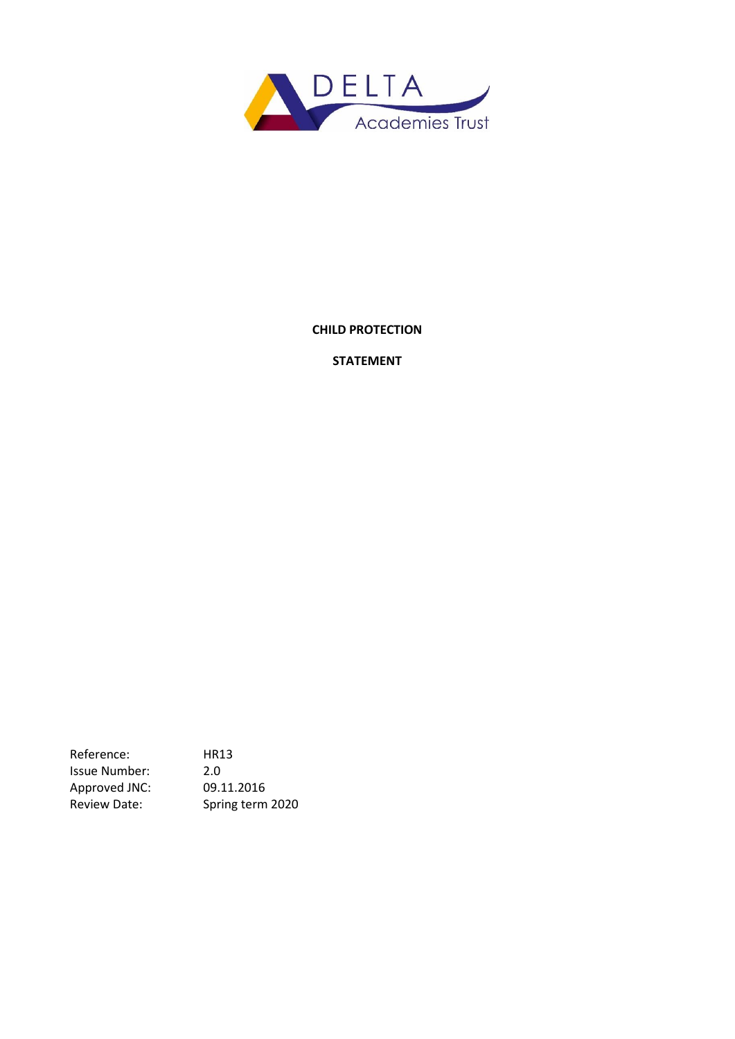

## **CHILD PROTECTION**

## **STATEMENT**

Reference: HR13 Issue Number: 2.0 Approved JNC: 09.11.2016 Review Date: Spring term 2020